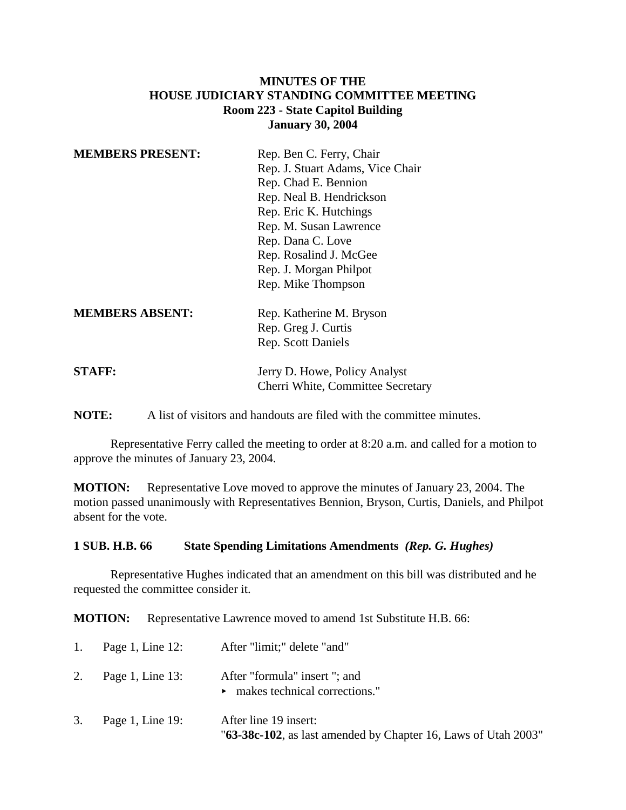## **MINUTES OF THE HOUSE JUDICIARY STANDING COMMITTEE MEETING Room 223 - State Capitol Building January 30, 2004**

| <b>MEMBERS PRESENT:</b> | Rep. Ben C. Ferry, Chair<br>Rep. J. Stuart Adams, Vice Chair<br>Rep. Chad E. Bennion<br>Rep. Neal B. Hendrickson<br>Rep. Eric K. Hutchings<br>Rep. M. Susan Lawrence<br>Rep. Dana C. Love<br>Rep. Rosalind J. McGee |
|-------------------------|---------------------------------------------------------------------------------------------------------------------------------------------------------------------------------------------------------------------|
|                         | Rep. J. Morgan Philpot<br>Rep. Mike Thompson                                                                                                                                                                        |
| <b>MEMBERS ABSENT:</b>  | Rep. Katherine M. Bryson<br>Rep. Greg J. Curtis<br><b>Rep.</b> Scott Daniels                                                                                                                                        |
| <b>STAFF:</b>           | Jerry D. Howe, Policy Analyst                                                                                                                                                                                       |

**NOTE:** A list of visitors and handouts are filed with the committee minutes.

Representative Ferry called the meeting to order at 8:20 a.m. and called for a motion to approve the minutes of January 23, 2004.

Cherri White, Committee Secretary

**MOTION:** Representative Love moved to approve the minutes of January 23, 2004. The motion passed unanimously with Representatives Bennion, Bryson, Curtis, Daniels, and Philpot absent for the vote.

#### **1 SUB. H.B. 66 State Spending Limitations Amendments** *(Rep. G. Hughes)*

Representative Hughes indicated that an amendment on this bill was distributed and he requested the committee consider it.

**MOTION:** Representative Lawrence moved to amend 1st Substitute H.B. 66:

| 1. Page 1, Line $12$ : | After "limit;" delete "and"                                                             |
|------------------------|-----------------------------------------------------------------------------------------|
| 2. Page 1, Line $13$ : | After "formula" insert "; and<br>$\triangleright$ makes technical corrections."         |
| 3. Page 1, Line 19:    | After line 19 insert:<br>"63-38c-102, as last amended by Chapter 16, Laws of Utah 2003" |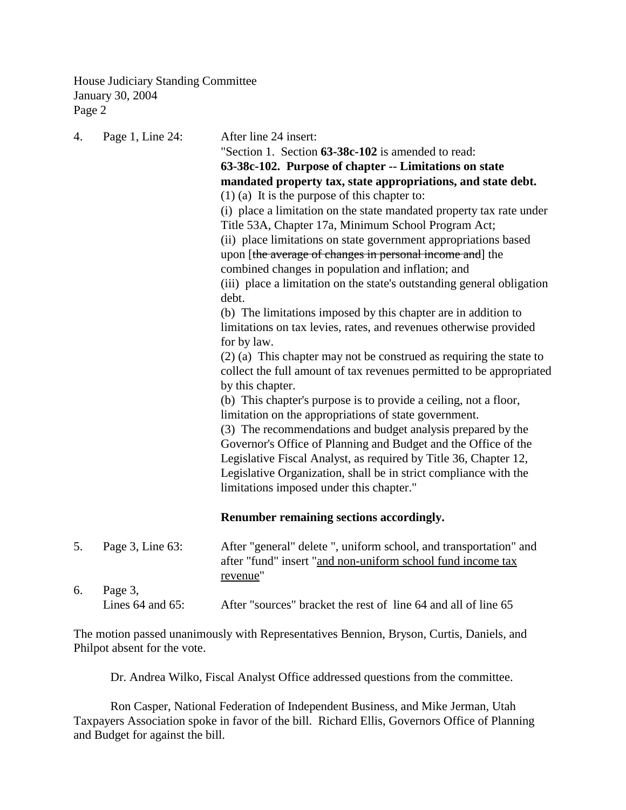House Judiciary Standing Committee January 30, 2004 Page 2

| 4. | Page 1, Line 24:      | After line 24 insert:                                                                                                                        |
|----|-----------------------|----------------------------------------------------------------------------------------------------------------------------------------------|
|    |                       | "Section 1. Section 63-38c-102 is amended to read:                                                                                           |
|    |                       | 63-38c-102. Purpose of chapter -- Limitations on state                                                                                       |
|    |                       | mandated property tax, state appropriations, and state debt.                                                                                 |
|    |                       | $(1)$ (a) It is the purpose of this chapter to:                                                                                              |
|    |                       | (i) place a limitation on the state mandated property tax rate under                                                                         |
|    |                       | Title 53A, Chapter 17a, Minimum School Program Act;                                                                                          |
|    |                       | (ii) place limitations on state government appropriations based<br>upon [the average of changes in personal income and] the                  |
|    |                       | combined changes in population and inflation; and                                                                                            |
|    |                       | (iii) place a limitation on the state's outstanding general obligation                                                                       |
|    |                       | debt.                                                                                                                                        |
|    |                       | (b) The limitations imposed by this chapter are in addition to                                                                               |
|    |                       | limitations on tax levies, rates, and revenues otherwise provided                                                                            |
|    |                       | for by law.                                                                                                                                  |
|    |                       | $(2)$ (a) This chapter may not be construed as requiring the state to                                                                        |
|    |                       | collect the full amount of tax revenues permitted to be appropriated                                                                         |
|    |                       | by this chapter.                                                                                                                             |
|    |                       | (b) This chapter's purpose is to provide a ceiling, not a floor,                                                                             |
|    |                       | limitation on the appropriations of state government.                                                                                        |
|    |                       | (3) The recommendations and budget analysis prepared by the                                                                                  |
|    |                       | Governor's Office of Planning and Budget and the Office of the                                                                               |
|    |                       | Legislative Fiscal Analyst, as required by Title 36, Chapter 12,                                                                             |
|    |                       | Legislative Organization, shall be in strict compliance with the                                                                             |
|    |                       | limitations imposed under this chapter."                                                                                                     |
|    |                       | Renumber remaining sections accordingly.                                                                                                     |
|    |                       |                                                                                                                                              |
| 5. | Page 3, Line 63:      | After "general" delete ", uniform school, and transportation" and<br>after "fund" insert "and non-uniform school fund income tax<br>revenue" |
| 6. | Page 3,               |                                                                                                                                              |
|    | Lines $64$ and $65$ : | After "sources" bracket the rest of line 64 and all of line 65                                                                               |

The motion passed unanimously with Representatives Bennion, Bryson, Curtis, Daniels, and Philpot absent for the vote.

Dr. Andrea Wilko, Fiscal Analyst Office addressed questions from the committee.

Ron Casper, National Federation of Independent Business, and Mike Jerman, Utah Taxpayers Association spoke in favor of the bill. Richard Ellis, Governors Office of Planning and Budget for against the bill.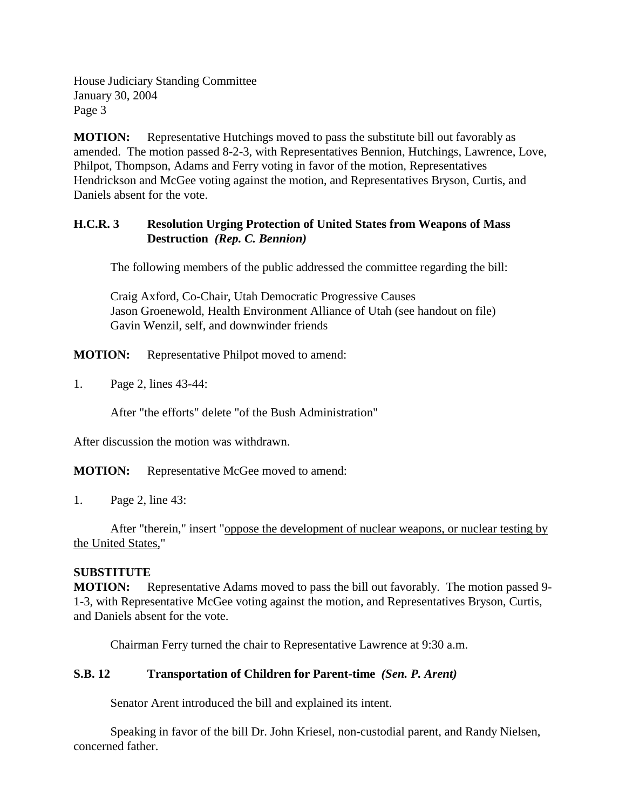House Judiciary Standing Committee January 30, 2004 Page 3

**MOTION:** Representative Hutchings moved to pass the substitute bill out favorably as amended. The motion passed 8-2-3, with Representatives Bennion, Hutchings, Lawrence, Love, Philpot, Thompson, Adams and Ferry voting in favor of the motion, Representatives Hendrickson and McGee voting against the motion, and Representatives Bryson, Curtis, and Daniels absent for the vote.

### **H.C.R. 3 Resolution Urging Protection of United States from Weapons of Mass Destruction** *(Rep. C. Bennion)*

The following members of the public addressed the committee regarding the bill:

Craig Axford, Co-Chair, Utah Democratic Progressive Causes Jason Groenewold, Health Environment Alliance of Utah (see handout on file) Gavin Wenzil, self, and downwinder friends

**MOTION:** Representative Philpot moved to amend:

1. Page 2, lines 43-44:

After "the efforts" delete "of the Bush Administration"

After discussion the motion was withdrawn.

**MOTION:** Representative McGee moved to amend:

1. Page 2, line 43:

After "therein," insert "oppose the development of nuclear weapons, or nuclear testing by the United States,"

#### **SUBSTITUTE**

**MOTION:** Representative Adams moved to pass the bill out favorably. The motion passed 9- 1-3, with Representative McGee voting against the motion, and Representatives Bryson, Curtis, and Daniels absent for the vote.

Chairman Ferry turned the chair to Representative Lawrence at 9:30 a.m.

## **S.B. 12 Transportation of Children for Parent-time** *(Sen. P. Arent)*

Senator Arent introduced the bill and explained its intent.

Speaking in favor of the bill Dr. John Kriesel, non-custodial parent, and Randy Nielsen, concerned father.